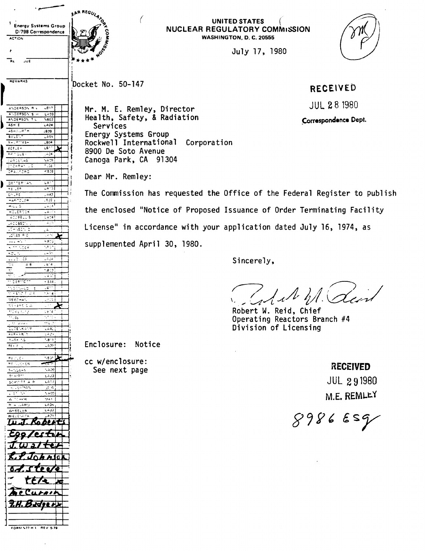|                                                                                                                                         | AR REGULAT                               |
|-----------------------------------------------------------------------------------------------------------------------------------------|------------------------------------------|
|                                                                                                                                         | <b>UNITE</b>                             |
| <b>Energy Systems Group</b>                                                                                                             | <b>NUCLEAR REGUL.</b>                    |
| D/798 Correspondence<br><b>ACTION</b>                                                                                                   | <b>WASHINGT</b>                          |
|                                                                                                                                         |                                          |
|                                                                                                                                         |                                          |
|                                                                                                                                         |                                          |
| JUE<br>RE                                                                                                                               |                                          |
|                                                                                                                                         |                                          |
| <b>REMARKS</b>                                                                                                                          |                                          |
|                                                                                                                                         | Docket No. 50-147                        |
|                                                                                                                                         |                                          |
|                                                                                                                                         |                                          |
| -817<br>ANDERSON A V                                                                                                                    | Mr. M. E. Remley, Director               |
| ANDEPSON S.H.<br>LA03<br>ANDEPSON TIL<br>$\sqrt{302}$                                                                                   | Health, Safety, & Radiation              |
| ASH E<br>LA24                                                                                                                           | Services                                 |
| ASHAURTH<br>-209                                                                                                                        | Energy Systems Group                     |
| €≥ਹ€ਾ ਵ<br>- 405                                                                                                                        |                                          |
| <b>BALEYASH</b><br><b>LEO4</b><br>LS.<br><b>BEFLEY</b>                                                                                  | Rockwell International Corporation       |
| RAINDLEY<br>$-24$                                                                                                                       | 8900 De Soto Avenue                      |
| 5409<br>ga a zan wa Si                                                                                                                  | Canoga Park, CA 91304                    |
| chokeas vo<br>- 108 F<br>CRAWFORD<br>4,808                                                                                              |                                          |
|                                                                                                                                         | Dear Mr. Remley:                         |
| DENTERY AN<br>الماء                                                                                                                     |                                          |
| न्या ज<br>$\mathbf{c}_{\frac{1}{2},\ldots,\frac{1}{2}}$                                                                                 | The Commission has requested the Of<br>H |
| $C \subseteq \mathbb{R}$ is<br>1442<br>$.5.22 +$<br>⊷ant <u>ri</u> se                                                                   |                                          |
| 12.54<br>ಗಳು ರ                                                                                                                          |                                          |
| ਜਰਪਰਸਤਰਕ<br>والزهي<br>الهوشي                                                                                                            | the enclosed "Notice of Proposed Is      |
| ACOBELLS<br>ತಾ<br>.ACCBSON (                                                                                                            |                                          |
| lo–Nsori o<br>المشا                                                                                                                     | License" in accordance with your ap      |
| ೂ್.ಕೊ≔ರ<br>$\sim 10^{-1}$                                                                                                               |                                          |
| المرابط بالمد<br>kans<br>राजन २०००<br>vednj                                                                                             | supplemented April 30, 1980.             |
| $\mathcal{C}$ , $\mathcal{C}$<br>L – 35                                                                                                 |                                          |
| LL LOVINCS.<br>فائرش<br>$\Delta$ .<br>18.4<br>Mar                                                                                       |                                          |
| 0.012                                                                                                                                   |                                          |
| ್ಲುಗ್<br>도 수 있다                                                                                                                         |                                          |
| $\overline{\mathcal{C}}$ , we have the set of $\overline{\mathcal{C}}$ and $\overline{\mathcal{C}}$<br>- 844)<br>.611<br>machula<br>- s |                                          |
| ਲਾਸ ਸ਼ਹਿਰ ਹੋਣ<br>1,4143                                                                                                                 |                                          |
| ಾಂಕ<br>MEECHAN,                                                                                                                         |                                          |
| $\omega$ to $\tau$<br>MEXERS CW<br>trokes wing.<br>1974                                                                                 |                                          |
| ships<br>$\sim$ . So                                                                                                                    |                                          |
| بالمصطرار الراد<br>サルク                                                                                                                  |                                          |
| DOGENKANP<br>الثقافات<br>PARKAR T<br>2429                                                                                               |                                          |
| 2004 P.S<br>tara∮                                                                                                                       |                                          |
| 1429.<br>मान प                                                                                                                          | Enclosure: Notice                        |
| NBOP<br>見到してく                                                                                                                           |                                          |
| RE NUCKER                                                                                                                               | cc w/enclosure:                          |
| 1,400<br>Switches                                                                                                                       | See next page                            |
| $50 - 121$<br>ヒニシ3<br>LAT7<br>SCHOOTT A P                                                                                               |                                          |
| <b>NULSHIMAN</b><br>50 G                                                                                                                |                                          |
| 1, 57, 74<br>$\sim$ 400                                                                                                                 |                                          |
| All to well<br>544.1<br>د3 شما<br>8. u CARD                                                                                             |                                          |
| ووشا<br>线形密密电电母                                                                                                                         |                                          |
| الجم<br>WIECENI CH                                                                                                                      |                                          |
|                                                                                                                                         |                                          |
|                                                                                                                                         |                                          |
|                                                                                                                                         |                                          |
|                                                                                                                                         |                                          |
| A.                                                                                                                                      |                                          |
|                                                                                                                                         |                                          |
|                                                                                                                                         |                                          |
|                                                                                                                                         |                                          |
|                                                                                                                                         |                                          |
|                                                                                                                                         |                                          |
|                                                                                                                                         |                                          |
|                                                                                                                                         |                                          |
|                                                                                                                                         |                                          |

 $\frac{1}{10000 \times 17 + 1}$ 

## **UNITED STATES** ( **NUCLEAR REGULATORY COMMISSION WASHINGTON, D. C. 20555**

July 17, 1980

## **RECEIVED**

JUL **2** 8 1980 **.Grrespondonco Dept.** 

Mr. Remley: The Commission has requested the Office of the Federal Register to publish the enclosed "Notice of Proposed Issuance of Order Terminating Facility License" in accordance with your application dated July 16, 1974, as emented April 30, 1980.

Sincerely,

Robert **W.** Reid, Chief Operating Reactors Branch #4 Division of Licensing

next page **ff**  $\sum_{n=1}^{\infty}$  **ff ECEIVED** JUL 291980  $M.E.$  REMLEY

 $898669$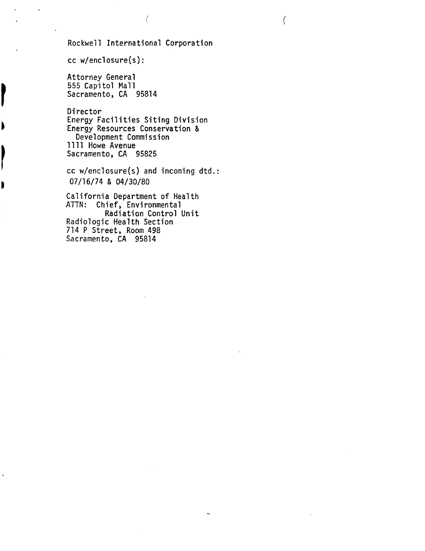Rockwell International Corporation

 $cc$  w/enclosure(s):

Ì

Attorney General 555 Capitol Mall Sacramento, CA 95814

Director Energy Facilities Siting Division Energy Resources Conservation & Development Commission 1111 Howe Avenue Sacramento, CA 95825

cc w/enclosure(s) and incoming dtd. : 07/16/74 & 04/30/80

California Department of Health ATTN: Chief, Environmental Radiation Control Unit Radiologic Health Section 714 P Street, Room 498 Sacramento, CA 95814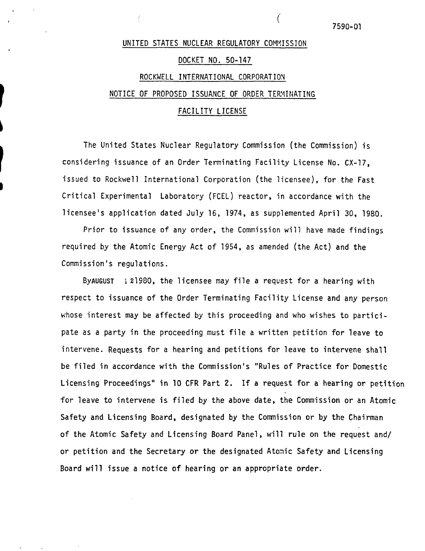## UNITED STATES NUCLEAR REGULATORY COMMISSION DOCKET NO. 50-147 ROCKWELL INTERNATIONAL CORPORATION NOTICE OF PROPOSED ISSUANCE OF ORDER TERYINATING FACILITY LICENSE

The United States Nuclear Regulatory Commission (the Commission) is considering issuance of an Order Terminating Facility License No. CX-17, issued to Rockwell International Corporation (the licensee), for the Fast Critical Experimental Laboratory (FCEL) reactor, in accordance with the licensee's application dated July 16, 1974, as supplemented April 30, 1980.

Prior to issuance of any order, the Commission will have made findings required by the Atomic Energy Act of 1954, as amended (the Act) and the Commission's regulations.

BYAUGUST i21960, the licensee may file a request for a hearing with respect to issuance of the Order Terminating Facility License and any person whose interest may be affected by this proceeding and who wishes to participate as a party in the proceeding must file a written petition for leave to intervene. Requests for a hearing and petitions for leave to intervene shall be filed in accordance with the Commission's "Rules of Practice for Domestic Licensing Proceedings" in 10 CFR Part 2. If a request for a hearing or petition for leave to intervene is filed by the above date, the Commission or an Atomic Safety and Licensing Board, designated by the Commission or by the Chairman of the Atomic Safety and Licensing Board Panel, will rule on the request and/ or petition and the Secretary or the designated Atomic Safety and Licensing Board will issue a notice of hearing or an appropriate order.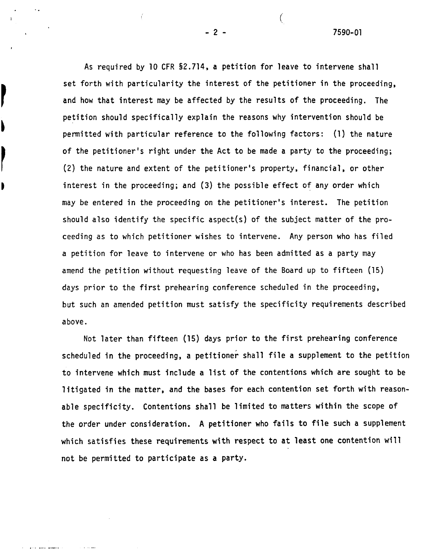7590-01

As required by 10 CFR 52.714, a petition for leave to intervene shall set forth with particularity the interest of the petitioner in the proceeding, and how that interest may be affected by the results of the proceeding. The petition should specifically explain the reasons why intervention should be permitted with particular reference to the following factors: (1) the nature of the petitioner's right under the Act to be made a party to the proceeding; **(2)** the nature and extent of the petitioner's property, financial, or other interest in the proceeding; and **(3)** the possible effect of any order which may be entered in the proceeding on the petitioner's interest. The petition should also identify the specific aspect(s) of the subject matter of the proceeding as to which petitioner wishes to intervene. Any person who has filed a petition for leave to intervene or who has been admitted as a party may amend the petition without requesting leave of the Board up to fifteen (15) days prior to the first prehearing conference scheduled in the proceeding, but such an amended petition must satisfy the specificity requirements described above .

Not later than fifteen (15) days prior to the first prehearing conference scheduled in the proceeding, a petitioner shall file a supplement to the petition to intervene which must include a list of the contentions which are sought to be litigated in the matter, and the bases for each contention set forth with reasonable specificity. Contentions shall be limited to matters within the scope of the order under consideration. **A** petitioner who fails to file such a supplement which satisfies these requirements with respect to at least one contention will not be permitted to participate as a party.

 $-2-$ 

I

b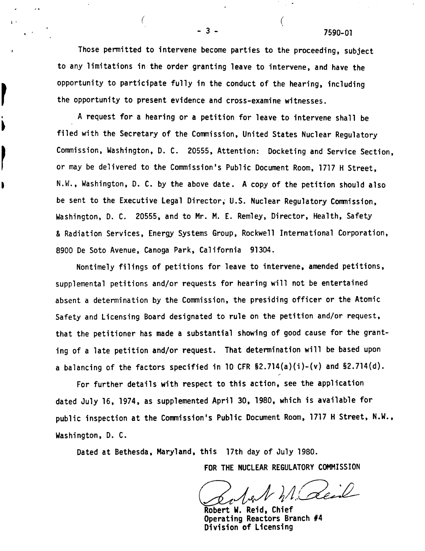7590-01

Those permitted to intervene become parties to the proceeding, subject to any limitations in the order granting leave to intervene, and have the opportunity to participate fully in the conduct of the hearing, including the opportunity to present evidence and cross-examine witnesses.

A request for a hearing or a petition for leave to intervene shall be filed with the Secretary of the Commission, United States Nuclear Regulatory Commission, Washington, D. C. 20555, Attention: Docketing and Service Section, or may be delivered to the Commission's Public Document Room, 1717 H Street, N.W., Washington, D. C. by the above date. A copy of the petition should also be sent to the Executive Legal Director; U.S. Nuclear Regulatory Comnission, Washington, D. C. 20555, and to Mr. M. E. Remley, Director, Health, Safety & Radiation Services, Energy Systems Group, Rockwell International Corporation, 8900 De Soto Avenue, Canoga Park, California 91304.

Nontimely filings of petitions for leave to intervene, amended petitions, supplemental petitions and/or requests for hearing will not be entertained absent a determination by the Commission, the presiding officer or the Atomic Safety and Licensing Board designated to rule on the petition and/or request, that the petitioner has made a substantial showing of good cause for the granting of a late petition and/or request. That determination will be based upon a balancing of the factors specified in 10 CFR  $$2.714(a)(i)-(v)$  and  $$2.714(d)$ .

For further details with respect to this action, see the application dated July 16, 1974, as supplemented April 30, 1980, which is available for public inspection at the Conmission's Public Document Room, 1717 H Street, N.W., Washington, D. C.

Dated at Bethesda, Maryland, this 17th day of July 1980.

this 17th day of July 1980.<br>FOR THE NUCLEAR REGULATORY COMMISSION<br>Robert W. Reid, Chief

Division of Licensing Robert W. Reid. Chief Operating Reactors Branch #4

 $-3-$ 

b